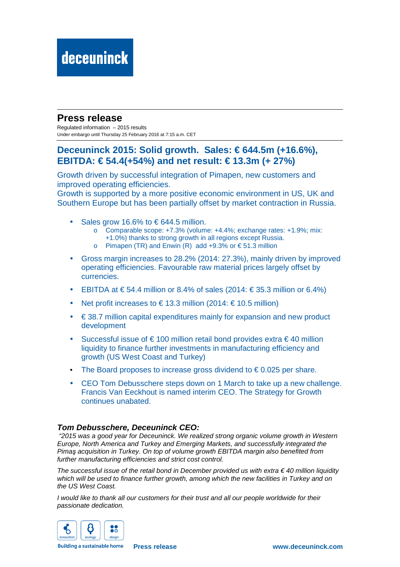### **Press release**

Regulated information – 2015 results Under embargo until Thursday 25 February 2016 at 7:15 a.m. CET

### **Deceuninck 2015: Solid growth. Sales: € 644.5m (+16.6%), EBITDA: € 54.4(+54%) and net result: € 13.3m (+ 27%)**

Growth driven by successful integration of Pimapen, new customers and improved operating efficiencies.

Growth is supported by a more positive economic environment in US, UK and Southern Europe but has been partially offset by market contraction in Russia.

- Sales grow 16.6% to  $\epsilon$  644.5 million.
	- o Comparable scope: +7.3% (volume: +4.4%; exchange rates: +1.9%; mix:
	- +1.0%) thanks to strong growth in all regions except Russia.
	- o Pimapen (TR) and Enwin (R) add  $+9.3\%$  or  $\in$  51.3 million
- Gross margin increases to 28.2% (2014: 27.3%), mainly driven by improved operating efficiencies. Favourable raw material prices largely offset by currencies.
- EBITDA at  $\in$  54.4 million or 8.4% of sales (2014:  $\in$ 35.3 million or 6.4%)
- Net profit increases to  $\in$  13.3 million (2014:  $\in$  105 million)
- $\bullet \in$  38.7 million capital expenditures mainly for expansion and new product development
- Successful issue of  $\epsilon$  100 million retail bond provides extra  $\epsilon$  40 million liquidity to finance further investments in manufacturing efficiency and growth (US West Coast and Turkey)
- The Board proposes to increase gross dividend to  $\epsilon$  0.025 per share.
- CEO Tom Debusschere steps down on 1 March to take up a new challenge. Francis Van Eeckhout is named interim CEO. The Strategy for Growth continues unabated.

#### **Tom Debusschere, Deceuninck CEO:**

 "2015 was a good year for Deceuninck. We realized strong organic volume growth in Western Europe, North America and Turkey and Emerging Markets, and successfully integrated the Pima*ş* acquisition in Turkey. On top of volume growth EBITDA margin also benefited from further manufacturing efficiencies and strict cost control.

The successful issue of the retail bond in December provided us with extra  $\epsilon$  40 million liquidity which will be used to finance further growth, among which the new facilities in Turkey and on the US West Coast.

I would like to thank all our customers for their trust and all our people worldwide for their passionate dedication.



**Building a sustainable home** 

**Press release www.deceuninck.com**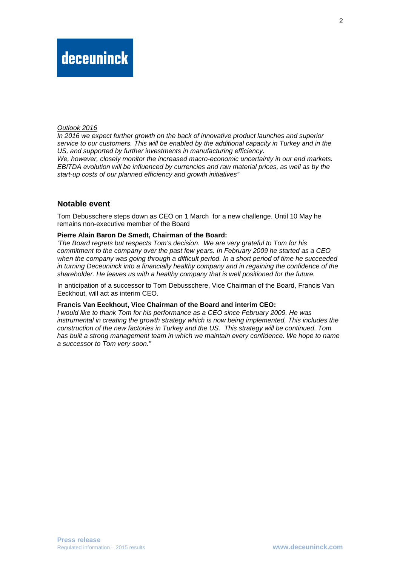#### Outlook 2016

In 2016 we expect further growth on the back of innovative product launches and superior service to our customers. This will be enabled by the additional capacity in Turkey and in the US, and supported by further investments in manufacturing efficiency. We, however, closely monitor the increased macro-economic uncertainty in our end markets.

EBITDA evolution will be influenced by currencies and raw material prices, as well as by the start-up costs of our planned efficiency and growth initiatives"

#### **Notable event**

Tom Debusschere steps down as CEO on 1 March for a new challenge. Until 10 May he remains non-executive member of the Board

#### **Pierre Alain Baron De Smedt, Chairman of the Board:**

'The Board regrets but respects Tom's decision. We are very grateful to Tom for his commitment to the company over the past few years. In February 2009 he started as a CEO when the company was going through a difficult period. In a short period of time he succeeded in turning Deceuninck into a financially healthy company and in regaining the confidence of the shareholder. He leaves us with a healthy company that is well positioned for the future.

In anticipation of a successor to Tom Debusschere, Vice Chairman of the Board, Francis Van Eeckhout, will act as interim CEO.

#### **Francis Van Eeckhout, Vice Chairman of the Board and interim CEO:**

I would like to thank Tom for his performance as a CEO since February 2009. He was instrumental in creating the growth strategy which is now being implemented, This includes the construction of the new factories in Turkey and the US. This strategy will be continued. Tom has built a strong management team in which we maintain every confidence. We hope to name a successor to Tom very soon."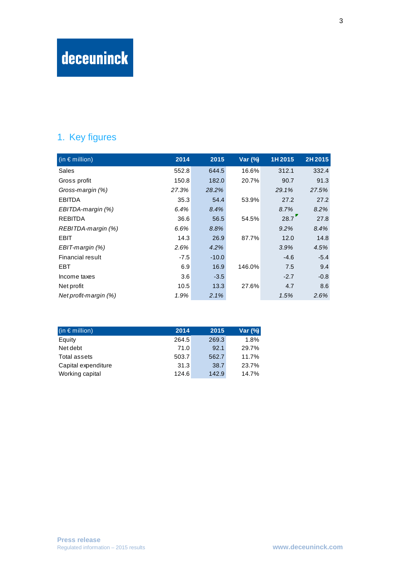# deceuninck

## 1. Key figures

| $(n \in \mathsf{million})$ | 2014   | 2015    | Var (%) | 1H 2015 | 2H 2015 |
|----------------------------|--------|---------|---------|---------|---------|
| Sales                      | 552.8  | 644.5   | 16.6%   | 312.1   | 332.4   |
| Gross profit               | 150.8  | 182.0   | 20.7%   | 90.7    | 91.3    |
| Gross-margin (%)           | 27.3%  | 28.2%   |         | 29.1%   | 27.5%   |
| <b>EBITDA</b>              | 35.3   | 54.4    | 53.9%   | 27.2    | 27.2    |
| EBITDA-margin (%)          | 6.4%   | 8.4%    |         | 8.7%    | 8.2%    |
| <b>REBITDA</b>             | 36.6   | 56.5    | 54.5%   | 28.7    | 27.8    |
| REBITDA-margin (%)         | 6.6%   | 8.8%    |         | 9.2%    | 8.4%    |
| <b>EBIT</b>                | 14.3   | 26.9    | 87.7%   | 12.0    | 14.8    |
| EBIT-margin (%)            | 2.6%   | 4.2%    |         | 3.9%    | 4.5%    |
| Financial result           | $-7.5$ | $-10.0$ |         | $-4.6$  | $-5.4$  |
| <b>EBT</b>                 | 6.9    | 16.9    | 146.0%  | 7.5     | 9.4     |
| Income taxes               | 3.6    | $-3.5$  |         | $-2.7$  | $-0.8$  |
| Net profit                 | 10.5   | 13.3    | 27.6%   | 4.7     | 8.6     |
| Net profit-margin (%)      | 1.9%   | 2.1%    |         | 1.5%    | 2.6%    |

| $(in \in$ million)  | 2014  | 2015  | Var (%) |
|---------------------|-------|-------|---------|
| Equity              | 264.5 | 269.3 | 1.8%    |
| Net debt            | 71.0  | 92.1  | 29.7%   |
| Total assets        | 503.7 | 562.7 | 11.7%   |
| Capital expenditure | 31.3  | 38.7  | 23.7%   |
| Working capital     | 124.6 | 142.9 | 14.7%   |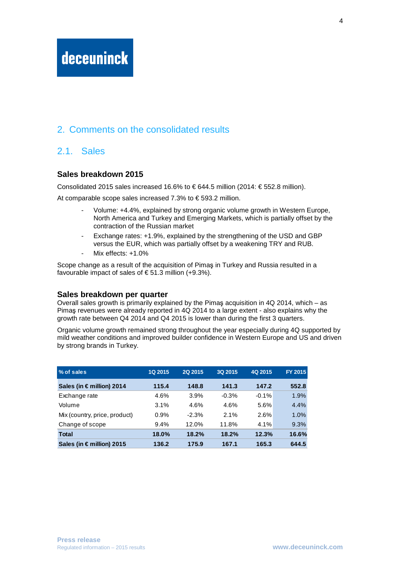## deceuninck

### 2. Comments on the consolidated results

### 2.1. Sales

#### **Sales breakdown 2015**

Consolidated 2015 sales increased 16.6% to  $\epsilon$  644.5 million (2014:  $\epsilon$  552.8 million).

At comparable scope sales increased 7.3% to  $\epsilon$  593.2 million.

- Volume: +4.4%, explained by strong organic volume growth in Western Europe, North America and Turkey and Emerging Markets, which is partially offset by the contraction of the Russian market
- Exchange rates: +1.9%, explained by the strengthening of the USD and GBP versus the EUR, which was partially offset by a weakening TRY and RUB.
- Mix effects: +1.0%

Scope change as a result of the acquisition of Pimaş in Turkey and Russia resulted in a favourable impact of sales of  $\epsilon$  51.3 million (+9.3%).

#### **Sales breakdown per quarter**

Overall sales growth is primarily explained by the Pimaş acquisition in 4Q 2014, which – as Pimaş revenues were already reported in 4Q 2014 to a large extent - also explains why the growth rate between Q4 2014 and Q4 2015 is lower than during the first 3 quarters.

Organic volume growth remained strong throughout the year especially during 4Q supported by mild weather conditions and improved builder confidence in Western Europe and US and driven by strong brands in Turkey.

| % of sales                    | <b>1Q 2015</b> | 2Q 2015 | 3Q 2015 | 4Q 2015 | FY 2015 |
|-------------------------------|----------------|---------|---------|---------|---------|
| Sales (in $\in$ million) 2014 | 115.4          | 148.8   | 141.3   | 147.2   | 552.8   |
| Exchange rate                 | 4.6%           | 3.9%    | $-0.3%$ | $-0.1%$ | 1.9%    |
| Volume                        | 3.1%           | 4.6%    | 4.6%    | 5.6%    | 4.4%    |
| Mix (country, price, product) | 0.9%           | $-2.3%$ | 2.1%    | 2.6%    | 1.0%    |
| Change of scope               | 9.4%           | 12.0%   | 11.8%   | $4.1\%$ | 9.3%    |
| <b>Total</b>                  | 18.0%          | 18.2%   | 18.2%   | 12.3%   | 16.6%   |
| Sales (in € million) 2015     | 136.2          | 175.9   | 167.1   | 165.3   | 644.5   |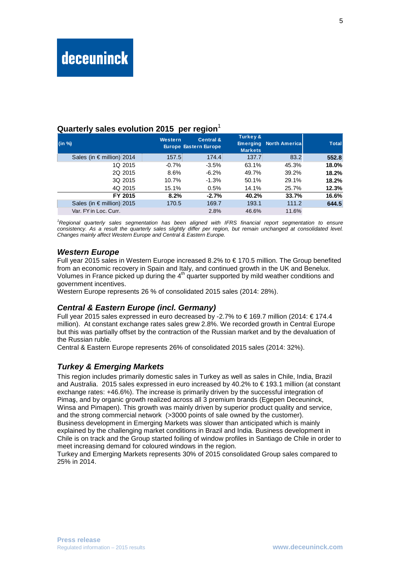#### **Quarterly sales evolution 2015 per region**<sup>1</sup>

|                           |                | ັ                                                    |                                       |                               |              |
|---------------------------|----------------|------------------------------------------------------|---------------------------------------|-------------------------------|--------------|
| (in %)                    | <b>Western</b> | <b>Central &amp;</b><br><b>Europe Eastern Europe</b> | <b>Turkey &amp;</b><br><b>Markets</b> | <b>Emerging North America</b> | <b>Total</b> |
| Sales (in € million) 2014 | 157.5          | 174.4                                                | 137.7                                 | 83.2                          | 552.8        |
| 1Q 2015                   | $-0.7%$        | $-3.5%$                                              | 63.1%                                 | 45.3%                         | 18.0%        |
| 2Q 2015                   | 8.6%           | $-6.2%$                                              | 49.7%                                 | 39.2%                         | 18.2%        |
| 3Q 2015                   | 10.7%          | $-1.3%$                                              | 50.1%                                 | 29.1%                         | 18.2%        |
| 4Q 2015                   | 15.1%          | 0.5%                                                 | 14.1%                                 | 25.7%                         | 12.3%        |
| FY 2015                   | 8.2%           | $-2.7%$                                              | 40.2%                                 | 33.7%                         | 16.6%        |
| Sales (in € million) 2015 | 170.5          | 169.7                                                | 193.1                                 | 111.2                         | 644.5        |
| Var. FY in Loc. Curr.     |                | 2.8%                                                 | 46.6%                                 | 11.6%                         |              |

<sup>1</sup>Regional quarterly sales segmentation has been aligned with IFRS financial report segmentation to ensure consistency. As a result the quarterly sales slightly differ per region, but remain unchanged at consolidated level. Changes mainly affect Western Europe and Central & Eastern Europe.

#### **Western Europe**

Full year 2015 sales in Western Europe increased 8.2% to € 170.5 million. The Group benefited from an economic recovery in Spain and Italy, and continued growth in the UK and Benelux. Volumes in France picked up during the  $4<sup>th</sup>$  quarter supported by mild weather conditions and government incentives.

Western Europe represents 26 % of consolidated 2015 sales (2014: 28%).

#### **Central & Eastern Europe (incl. Germany)**

Full year 2015 sales expressed in euro decreased by -2.7% to € 169.7 million (2014: € 174.4 million). At constant exchange rates sales grew 2.8%. We recorded growth in Central Europe but this was partially offset by the contraction of the Russian market and by the devaluation of the Russian ruble.

Central & Eastern Europe represents 26% of consolidated 2015 sales (2014: 32%).

#### **Turkey & Emerging Markets**

This region includes primarily domestic sales in Turkey as well as sales in Chile, India, Brazil and Australia. 2015 sales expressed in euro increased by 40.2% to € 193.1 million (at constant exchange rates: +46.6%). The increase is primarily driven by the successful integration of Pimaş, and by organic growth realized across all 3 premium brands (Egepen Deceuninck, Winsa and Pimapen). This growth was mainly driven by superior product quality and service, and the strong commercial network (>3000 points of sale owned by the customer). Business development in Emerging Markets was slower than anticipated which is mainly explained by the challenging market conditions in Brazil and India. Business development in Chile is on track and the Group started foiling of window profiles in Santiago de Chile in order to meet increasing demand for coloured windows in the region.

Turkey and Emerging Markets represents 30% of 2015 consolidated Group sales compared to 25% in 2014.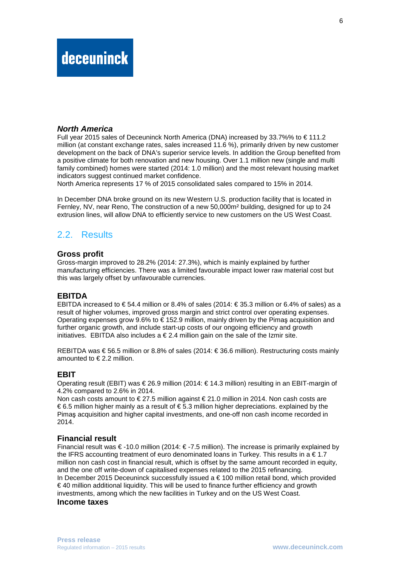#### **North America**

Full year 2015 sales of Deceuninck North America (DNA) increased by 33.7%% to  $\epsilon$  111.2 million (at constant exchange rates, sales increased 11.6 %), primarily driven by new customer development on the back of DNA's superior service levels. In addition the Group benefited from a positive climate for both renovation and new housing. Over 1.1 million new (single and multi family combined) homes were started (2014: 1.0 million) and the most relevant housing market indicators suggest continued market confidence.

North America represents 17 % of 2015 consolidated sales compared to 15% in 2014.

In December DNA broke ground on its new Western U.S. production facility that is located in Fernley, NV, near Reno, The construction of a new 50,000m² building, designed for up to 24 extrusion lines, will allow DNA to efficiently service to new customers on the US West Coast.

## 2.2. Results

#### **Gross profit**

Gross-margin improved to 28.2% (2014: 27.3%), which is mainly explained by further manufacturing efficiencies. There was a limited favourable impact lower raw material cost but this was largely offset by unfavourable currencies.

#### **EBITDA**

EBITDA increased to  $\epsilon$  54.4 million or 8.4% of sales (2014:  $\epsilon$  35.3 million or 6.4% of sales) as a result of higher volumes, improved gross margin and strict control over operating expenses. Operating expenses grow 9.6% to  $\in$  152.9 million, mainly driven by the Pimas acquisition and further organic growth, and include start-up costs of our ongoing efficiency and growth initiatives. EBITDA also includes a  $\epsilon$  2.4 million gain on the sale of the Izmir site.

REBITDA was € 56.5 million or 8.8% of sales (2014: € 36.6 million). Restructuring costs mainly amounted to  $\in$  2.2 million.

#### **EBIT**

Operating result (EBIT) was € 26.9 million (2014: € 14.3 million) resulting in an EBIT-margin of 4.2% compared to 2.6% in 2014.

Non cash costs amount to  $\epsilon$  27.5 million against  $\epsilon$  21.0 million in 2014. Non cash costs are € 6.5 million higher mainly as a result of € 5.3 million higher depreciations. explained by the Pimaş acquisition and higher capital investments, and one-off non cash income recorded in 2014.

#### **Financial result**

Financial result was € -10.0 million (2014: € -7.5 million). The increase is primarily explained by the IFRS accounting treatment of euro denominated loans in Turkey. This results in  $a \in 1.7$ million non cash cost in financial result, which is offset by the same amount recorded in equity, and the one off write-down of capitalised expenses related to the 2015 refinancing. In December 2015 Deceuninck successfully issued a  $\epsilon$  100 million retail bond, which provided € 40 million additional liquidity. This will be used to finance further efficiency and growth investments, among which the new facilities in Turkey and on the US West Coast. **Income taxes**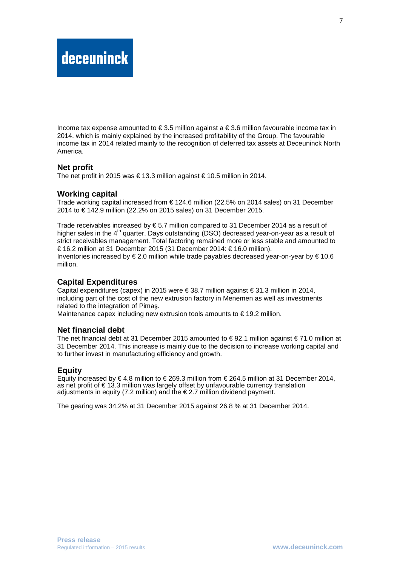Income tax expense amounted to  $\epsilon$  3.5 million against a  $\epsilon$  3.6 million favourable income tax in 2014, which is mainly explained by the increased profitability of the Group. The favourable income tax in 2014 related mainly to the recognition of deferred tax assets at Deceuninck North America.

#### **Net profit**

The net profit in 2015 was € 13.3 million against €10.5 million in 2014.

#### **Working capital**

Trade working capital increased from € 124.6 million (22.5% on 2014 sales) on 31 December 2014 to € 142.9 million (22.2% on 2015 sales) on 31 December 2015.

Trade receivables increased by  $\epsilon$  5.7 million compared to 31 December 2014 as a result of higher sales in the  $4<sup>th</sup>$  quarter. Days outstanding (DSO) decreased year-on-year as a result of strict receivables management. Total factoring remained more or less stable and amounted to € 16.2 million at 31 December 2015 (31 December 2014: € 16.0 million). Inventories increased by  $\in 2.0$  million while trade payables decreased year-on-year by  $\in 10.6$ million.

#### **Capital Expenditures**

Capital expenditures (capex) in 2015 were € 38.7 million against € 31.3 million in 2014, including part of the cost of the new extrusion factory in Menemen as well as investments related to the integration of Pimaş.

Maintenance capex including new extrusion tools amounts to € 19.2 million.

#### **Net financial debt**

The net financial debt at 31 December 2015 amounted to € 92.1 million against € 71.0 million at 31 December 2014. This increase is mainly due to the decision to increase working capital and to further invest in manufacturing efficiency and growth.

#### **Equity**

Equity increased by  $\epsilon$  4.8 million to  $\epsilon$  269.3 million from  $\epsilon$  264.5 million at 31 December 2014, as net profit of € 13.3 million was largely offset by unfavourable currency translation adjustments in equity (7.2 million) and the  $\epsilon$  2.7 million dividend payment.

The gearing was 34.2% at 31 December 2015 against 26.8 % at 31 December 2014.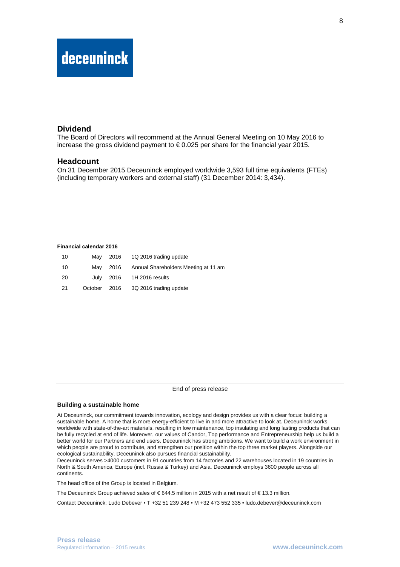## deceuninck

#### **Dividend**

The Board of Directors will recommend at the Annual General Meeting on 10 May 2016 to increase the gross dividend payment to  $\epsilon$  0.025 per share for the financial year 2015.

#### **Headcount**

On 31 December 2015 Deceuninck employed worldwide 3,593 full time equivalents (FTEs) (including temporary workers and external staff) (31 December 2014: 3,434).

#### **Financial calendar 2016**

| 10 | Mav     |      | 2016 1Q 2016 trading update          |
|----|---------|------|--------------------------------------|
| 10 | Mav     | 2016 | Annual Shareholders Meeting at 11 am |
| 20 |         |      | July 2016 1H 2016 results            |
| 21 | October |      | 2016 3Q 2016 trading update          |

End of press release

#### **Building a sustainable home**

At Deceuninck, our commitment towards innovation, ecology and design provides us with a clear focus: building a sustainable home. A home that is more energy-efficient to live in and more attractive to look at. Deceuninck works worldwide with state-of-the-art materials, resulting in low maintenance, top insulating and long lasting products that can be fully recycled at end of life. Moreover, our values of Candor, Top performance and Entrepreneurship help us build a better world for our Partners and end users. Deceuninck has strong ambitions. We want to build a work environment in which people are proud to contribute, and strengthen our position within the top three market players. Alongside our ecological sustainability, Deceuninck also pursues financial sustainability.

Deceuninck serves >4000 customers in 91 countries from 14 factories and 22 warehouses located in 19 countries in North & South America, Europe (incl. Russia & Turkey) and Asia. Deceuninck employs 3600 people across all continents.

The head office of the Group is located in Belgium.

The Deceuninck Group achieved sales of € 644.5 million in 2015 with a net result of € 13.3 million.

Contact Deceuninck: Ludo Debever • T +32 51 239 248 • M +32 473 552 335 • ludo.debever@deceuninck.com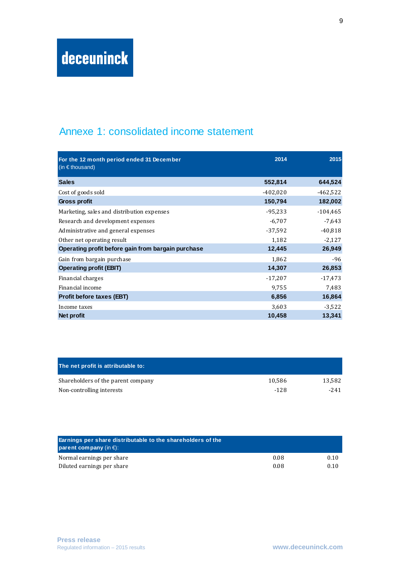## Annexe 1: consolidated income statement

| For the 12 month period ended 31 December<br>(in $\epsilon$ thousand) | 2014       | 2015       |
|-----------------------------------------------------------------------|------------|------------|
| <b>Sales</b>                                                          | 552,814    | 644,524    |
| Cost of goods sold                                                    | $-402,020$ | $-462,522$ |
| Gross profit                                                          | 150,794    | 182,002    |
| Marketing, sales and distribution expenses                            | $-95,233$  | $-104,465$ |
| Research and development expenses                                     | $-6,707$   | $-7,643$   |
| Administrative and general expenses                                   | $-37,592$  | $-40,818$  |
| Other net operating result                                            | 1,182      | $-2,127$   |
| Operating profit before gain from bargain purchase                    | 12,445     | 26,949     |
| Gain from bargain purchase                                            | 1,862      | $-96$      |
| <b>Operating profit (EBIT)</b>                                        | 14,307     | 26,853     |
| Financial charges                                                     | $-17,207$  | $-17,473$  |
| Financial income                                                      | 9,755      | 7,483      |
| <b>Profit before taxes (EBT)</b>                                      | 6,856      | 16,864     |
| Income taxes                                                          | 3,603      | $-3,522$   |
| Net profit                                                            | 10,458     | 13,341     |

| The net profit is attributable to: |        |         |
|------------------------------------|--------|---------|
| Shareholders of the parent company | 10.586 | 13.582  |
| Non-controlling interests          | $-128$ | $-2.41$ |

| Earnings per share distributable to the shareholders of the<br><b>parent company</b> (in $\epsilon$ ): |      |      |
|--------------------------------------------------------------------------------------------------------|------|------|
| Normal earnings per share                                                                              | 0.08 | 0.10 |
| Diluted earnings per share                                                                             | 0.08 | 0.10 |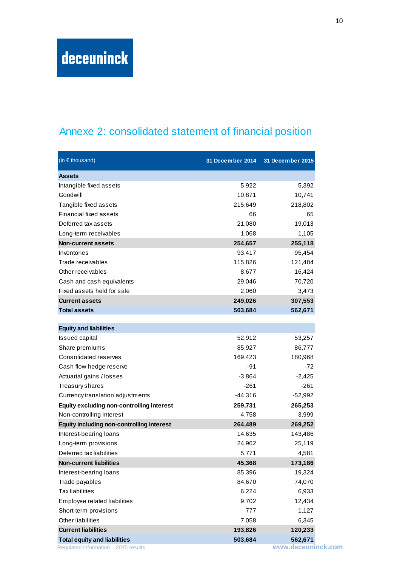## Annexe 2: consolidated statement of financial position

| (in $\epsilon$ thousand)                         | 31 December 2014 | 31 December 2015 |
|--------------------------------------------------|------------------|------------------|
| <b>Assets</b>                                    |                  |                  |
| Intangible fixed assets                          | 5,922            | 5,392            |
| Goodwill                                         | 10,871           | 10,741           |
| Tangible fixed assets                            | 215,649          | 218,802          |
| Financial fixed assets                           | 66               | 65               |
| Deferred tax assets                              | 21,080           | 19,013           |
| Long-term receivables                            | 1,068            | 1,105            |
| <b>Non-current assets</b>                        | 254,657          | 255,118          |
| Inventories                                      | 93,417           | 95,454           |
| Trade receivables                                | 115,826          | 121,484          |
| Other receivables                                | 8,677            | 16,424           |
| Cash and cash equivalents                        | 29,046           | 70,720           |
| Fixed assets held for sale                       | 2,060            | 3,473            |
| <b>Current assets</b>                            | 249,026          | 307,553          |
| <b>Total assets</b>                              | 503,684          | 562,671          |
|                                                  |                  |                  |
| <b>Equity and liabilities</b>                    |                  |                  |
| <b>Issued capital</b>                            | 52,912           | 53,257           |
| Share premiums                                   | 85,927           | 86,777           |
| Consolidated reserves                            | 169,423          | 180,968          |
| Cash flow hedge reserve                          | $-91$            | -72              |
| Actuarial gains / losses                         | $-3,864$         | $-2,425$         |
| Treasury shares                                  | $-261$           | $-261$           |
| Currency translation adjustments                 | $-44,316$        | $-52,992$        |
| <b>Equity excluding non-controlling interest</b> | 259,731          | 265,253          |
| Non-controlling interest                         | 4,758            | 3,999            |
| <b>Equity including non-controlling interest</b> | 264,489          | 269,252          |
| Interest-bearing loans                           | 14,635           | 143,486          |
| Long-term provisions                             | 24,962           | 25,119           |
| Deferred tax liabilities                         | 5,771            | 4,581            |
| <b>Non-current liabilities</b>                   | 45,368           | 173,186          |
| Interest-bearing loans                           | 85,396           | 19,324           |
| Trade payables                                   | 84,670           | 74,070           |
| <b>Tax liabilities</b>                           | 6,224            | 6,933            |
| Employee related liabilities                     | 9,702            | 12,434           |
| Short-term provisions                            | 777              | 1,127            |
| Other liabilities                                | 7,058            | 6,345            |
| <b>Current liabilities</b>                       | 193,826          | 120,233          |
| <b>Total equity and liabilities</b>              | 503,684          | 562,671          |